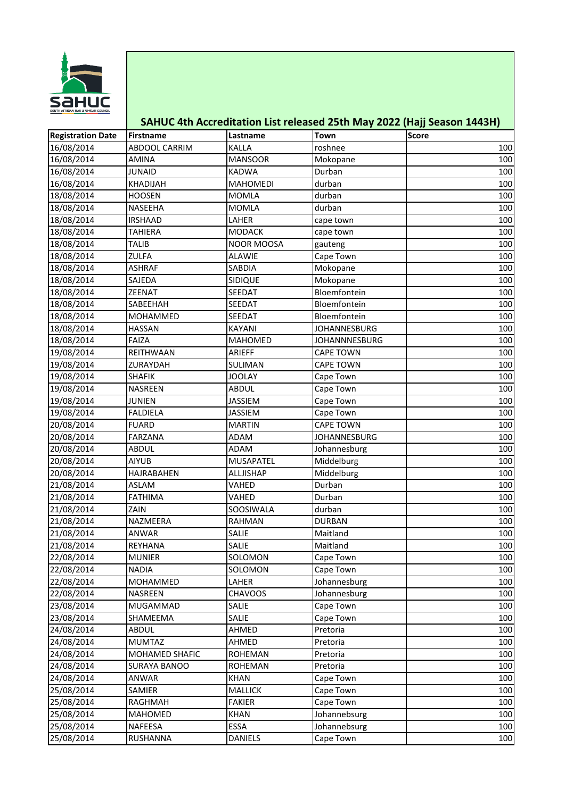

## **SAHUC 4th Accreditation List released 25th May 2022 (Hajj Season 1443H)**

| <b>Registration Date</b> | Firstname            | Lastname          | Town                 | <b>Score</b> |
|--------------------------|----------------------|-------------------|----------------------|--------------|
| 16/08/2014               | <b>ABDOOL CARRIM</b> | <b>KALLA</b>      | roshnee              | 100          |
| 16/08/2014               | AMINA                | <b>MANSOOR</b>    | Mokopane             | 100          |
| 16/08/2014               | <b>JUNAID</b>        | <b>KADWA</b>      | Durban               | 100          |
| 16/08/2014               | KHADIJAH             | <b>MAHOMEDI</b>   | durban               | 100          |
| 18/08/2014               | <b>HOOSEN</b>        | <b>MOMLA</b>      | durban               | 100          |
| 18/08/2014               | NASEEHA              | <b>MOMLA</b>      | durban               | 100          |
| 18/08/2014               | <b>IRSHAAD</b>       | LAHER             | cape town            | 100          |
| 18/08/2014               | TAHIERA              | <b>MODACK</b>     | cape town            | 100          |
| 18/08/2014               | <b>TALIB</b>         | <b>NOOR MOOSA</b> | gauteng              | 100          |
| 18/08/2014               | ZULFA                | <b>ALAWIE</b>     | Cape Town            | 100          |
| 18/08/2014               | <b>ASHRAF</b>        | <b>SABDIA</b>     | Mokopane             | 100          |
| 18/08/2014               | SAJEDA               | <b>SIDIQUE</b>    | Mokopane             | 100          |
| 18/08/2014               | ZEENAT               | SEEDAT            | Bloemfontein         | 100          |
| 18/08/2014               | SABEEHAH             | SEEDAT            | Bloemfontein         | 100          |
| 18/08/2014               | MOHAMMED             | <b>SEEDAT</b>     | Bloemfontein         | 100          |
| 18/08/2014               | <b>HASSAN</b>        | <b>KAYANI</b>     | <b>JOHANNESBURG</b>  | 100          |
| 18/08/2014               | FAIZA                | MAHOMED           | <b>JOHANNNESBURG</b> | 100          |
| 19/08/2014               | REITHWAAN            | ARIEFF            | <b>CAPE TOWN</b>     | 100          |
| 19/08/2014               | ZURAYDAH             | SULIMAN           | <b>CAPE TOWN</b>     | 100          |
| 19/08/2014               | <b>SHAFIK</b>        | <b>JOOLAY</b>     | Cape Town            | 100          |
| 19/08/2014               | NASREEN              | <b>ABDUL</b>      | Cape Town            | 100          |
| 19/08/2014               | <b>JUNIEN</b>        | <b>JASSIEM</b>    | Cape Town            | 100          |
| 19/08/2014               | <b>FALDIELA</b>      | <b>JASSIEM</b>    | Cape Town            | 100          |
| 20/08/2014               | <b>FUARD</b>         | <b>MARTIN</b>     | <b>CAPE TOWN</b>     | 100          |
| 20/08/2014               | FARZANA              | ADAM              | <b>JOHANNESBURG</b>  | 100          |
| 20/08/2014               | ABDUL                | ADAM              | Johannesburg         | 100          |
| 20/08/2014               | <b>AIYUB</b>         | MUSAPATEL         | Middelburg           | 100          |
| 20/08/2014               | HAJRABAHEN           | ALLJISHAP         | Middelburg           | 100          |
| 21/08/2014               | <b>ASLAM</b>         | VAHED             | Durban               | 100          |
| 21/08/2014               | <b>FATHIMA</b>       | VAHED             | Durban               | 100          |
| 21/08/2014               | ZAIN                 | SOOSIWALA         | durban               | 100          |
| 21/08/2014               | NAZMEERA             | <b>RAHMAN</b>     | <b>DURBAN</b>        | 100          |
| 21/08/2014               | ANWAR                | SALIE             | Maitland             | 100          |
| 21/08/2014               | REYHANA              | SALIE             | Maitland             | 100          |
| 22/08/2014               | <b>MUNIER</b>        | SOLOMON           | Cape Town            | 100          |
| 22/08/2014               | <b>NADIA</b>         | SOLOMON           | Cape Town            | 100          |
| 22/08/2014               | MOHAMMED             | LAHER             | Johannesburg         | 100          |
| 22/08/2014               | NASREEN              | <b>CHAVOOS</b>    | Johannesburg         | 100          |
| 23/08/2014               | <b>MUGAMMAD</b>      | SALIE             | Cape Town            | 100          |
| 23/08/2014               | SHAMEEMA             | SALIE             | Cape Town            | 100          |
| 24/08/2014               | ABDUL                | AHMED             | Pretoria             | 100          |
| 24/08/2014               | <b>MUMTAZ</b>        | AHMED             | Pretoria             | 100          |
| 24/08/2014               | MOHAMED SHAFIC       | <b>ROHEMAN</b>    | Pretoria             | 100          |
| 24/08/2014               | <b>SURAYA BANOO</b>  | <b>ROHEMAN</b>    | Pretoria             | 100          |
| 24/08/2014               | ANWAR                | <b>KHAN</b>       | Cape Town            | 100          |
| 25/08/2014               | SAMIER               | <b>MALLICK</b>    | Cape Town            | 100          |
| 25/08/2014               | RAGHMAH              | <b>FAKIER</b>     | Cape Town            | 100          |
| 25/08/2014               | MAHOMED              | <b>KHAN</b>       | Johannebsurg         | 100          |
| 25/08/2014               | NAFEESA              | ESSA              | Johannebsurg         | 100          |
| 25/08/2014               | RUSHANNA             | <b>DANIELS</b>    | Cape Town            | 100          |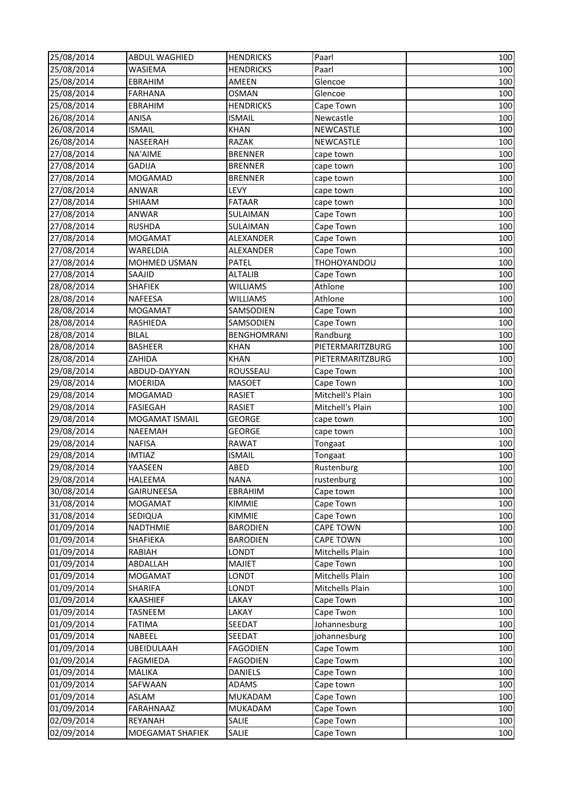| 25/08/2014 | <b>ABDUL WAGHIED</b>  | <b>HENDRICKS</b> | Paarl            | 100 |
|------------|-----------------------|------------------|------------------|-----|
| 25/08/2014 | WASIEMA               | <b>HENDRICKS</b> | Paarl            | 100 |
| 25/08/2014 | EBRAHIM               | AMEEN            | Glencoe          | 100 |
| 25/08/2014 | <b>FARHANA</b>        | <b>OSMAN</b>     | Glencoe          | 100 |
| 25/08/2014 | EBRAHIM               | <b>HENDRICKS</b> | Cape Town        | 100 |
| 26/08/2014 | ANISA                 | <b>ISMAIL</b>    | Newcastle        | 100 |
| 26/08/2014 | <b>ISMAIL</b>         | <b>KHAN</b>      | NEWCASTLE        | 100 |
| 26/08/2014 | NASEERAH              | RAZAK            | NEWCASTLE        | 100 |
| 27/08/2014 | NA'AIME               | <b>BRENNER</b>   | cape town        | 100 |
| 27/08/2014 | GADIJA                | <b>BRENNER</b>   | cape town        | 100 |
| 27/08/2014 | <b>MOGAMAD</b>        | <b>BRENNER</b>   | cape town        | 100 |
| 27/08/2014 | ANWAR                 | LEVY             | cape town        | 100 |
| 27/08/2014 | SHIAAM                | <b>FATAAR</b>    | cape town        | 100 |
| 27/08/2014 | ANWAR                 | <b>SULAIMAN</b>  | Cape Town        | 100 |
| 27/08/2014 | <b>RUSHDA</b>         | SULAIMAN         | Cape Town        | 100 |
| 27/08/2014 | <b>MOGAMAT</b>        | ALEXANDER        | Cape Town        | 100 |
| 27/08/2014 | WARELDIA              | ALEXANDER        | Cape Town        | 100 |
| 27/08/2014 | MOHMED USMAN          | <b>PATEL</b>     | THOHOYANDOU      | 100 |
| 27/08/2014 | SAAJID                | <b>ALTALIB</b>   | Cape Town        | 100 |
| 28/08/2014 | <b>SHAFIEK</b>        | <b>WILLIAMS</b>  | Athlone          | 100 |
| 28/08/2014 | NAFEESA               | <b>WILLIAMS</b>  | Athlone          | 100 |
| 28/08/2014 | <b>MOGAMAT</b>        | SAMSODIEN        | Cape Town        | 100 |
| 28/08/2014 | RASHIEDA              | SAMSODIEN        | Cape Town        | 100 |
| 28/08/2014 | <b>BILAL</b>          | BENGHOMRANI      | Randburg         | 100 |
| 28/08/2014 | <b>BASHEER</b>        | <b>KHAN</b>      | PIETERMARITZBURG | 100 |
| 28/08/2014 | ZAHIDA                | <b>KHAN</b>      | PIETERMARITZBURG | 100 |
| 29/08/2014 | ABDUD-DAYYAN          | ROUSSEAU         | Cape Town        | 100 |
| 29/08/2014 | <b>MOERIDA</b>        | <b>MASOET</b>    | Cape Town        | 100 |
| 29/08/2014 | <b>MOGAMAD</b>        | <b>RASIET</b>    | Mitchell's Plain | 100 |
| 29/08/2014 | <b>FASIEGAH</b>       | <b>RASIET</b>    | Mitchell's Plain | 100 |
| 29/08/2014 | <b>MOGAMAT ISMAIL</b> | <b>GEORGE</b>    | cape town        | 100 |
| 29/08/2014 | NAEEMAH               | <b>GEORGE</b>    | cape town        | 100 |
| 29/08/2014 | <b>NAFISA</b>         | <b>RAWAT</b>     | Tongaat          | 100 |
| 29/08/2014 | IMTIAZ                | <b>ISMAIL</b>    | Tongaat          | 100 |
| 29/08/2014 | YAASEEN               | ABED             | Rustenburg       | 100 |
| 29/08/2014 | HALEEMA               | <b>NANA</b>      | rustenburg       | 100 |
| 30/08/2014 | GAIRUNEESA            | EBRAHIM          | Cape town        | 100 |
| 31/08/2014 | MOGAMAT               | KIMMIE           | Cape Town        | 100 |
| 31/08/2014 | SEDIQUA               | <b>KIMMIE</b>    | Cape Town        | 100 |
| 01/09/2014 | NADTHMIE              | <b>BARODIEN</b>  | <b>CAPE TOWN</b> | 100 |
| 01/09/2014 | SHAFIEKA              | <b>BARODIEN</b>  | <b>CAPE TOWN</b> | 100 |
| 01/09/2014 | RABIAH                | LONDT            | Mitchells Plain  | 100 |
| 01/09/2014 | ABDALLAH              | <b>MAJIET</b>    | Cape Town        | 100 |
| 01/09/2014 | MOGAMAT               | LONDT            | Mitchells Plain  | 100 |
| 01/09/2014 | <b>SHARIFA</b>        | LONDT            | Mitchells Plain  | 100 |
| 01/09/2014 | KAASHIEF              | LAKAY            | Cape Town        | 100 |
| 01/09/2014 | TASNEEM               | LAKAY            | Cape Twon        | 100 |
| 01/09/2014 | FATIMA                | SEEDAT           | Johannesburg     | 100 |
| 01/09/2014 | NABEEL                | <b>SEEDAT</b>    | johannesburg     | 100 |
| 01/09/2014 | <b>UBEIDULAAH</b>     | <b>FAGODIEN</b>  | Cape Towm        | 100 |
| 01/09/2014 | FAGMIEDA              | <b>FAGODIEN</b>  | Cape Towm        | 100 |
| 01/09/2014 | MALIKA                | DANIELS          | Cape Town        | 100 |
| 01/09/2014 | SAFWAAN               | ADAMS            | Cape town        | 100 |
| 01/09/2014 | ASLAM                 | MUKADAM          | Cape Town        | 100 |
| 01/09/2014 | FARAHNAAZ             | <b>MUKADAM</b>   | Cape Town        | 100 |
| 02/09/2014 | <b>REYANAH</b>        | SALIE            | Cape Town        | 100 |
| 02/09/2014 | MOEGAMAT SHAFIEK      | SALIE            | Cape Town        | 100 |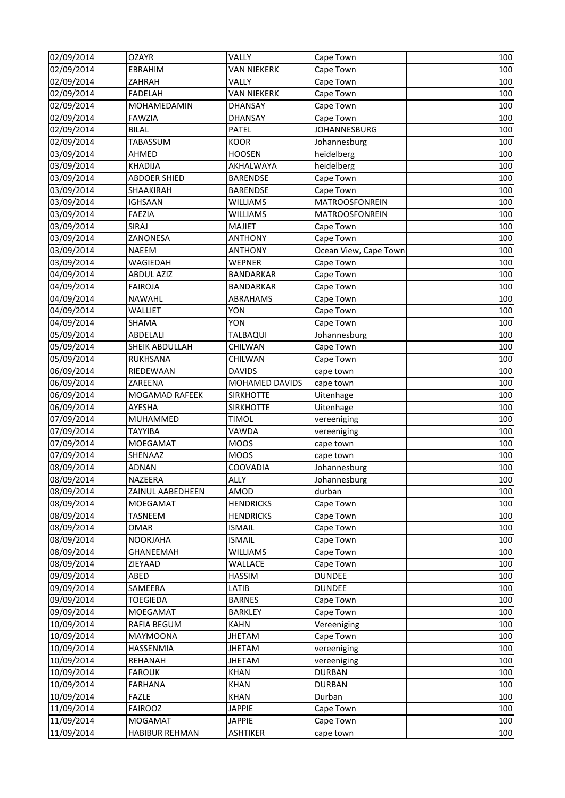| 02/09/2014 | <b>OZAYR</b>        | VALLY              | Cape Town             | 100 |
|------------|---------------------|--------------------|-----------------------|-----|
| 02/09/2014 | EBRAHIM             | VAN NIEKERK        | Cape Town             | 100 |
| 02/09/2014 | ZAHRAH              | VALLY              | Cape Town             | 100 |
| 02/09/2014 | FADELAH             | <b>VAN NIEKERK</b> | Cape Town             | 100 |
| 02/09/2014 | MOHAMEDAMIN         | <b>DHANSAY</b>     | Cape Town             | 100 |
| 02/09/2014 | <b>FAWZIA</b>       | <b>DHANSAY</b>     | Cape Town             | 100 |
| 02/09/2014 | <b>BILAL</b>        | PATEL              | JOHANNESBURG          | 100 |
| 02/09/2014 | TABASSUM            | <b>KOOR</b>        | Johannesburg          | 100 |
| 03/09/2014 | AHMED               | <b>HOOSEN</b>      | heidelberg            | 100 |
| 03/09/2014 | <b>KHADIJA</b>      | AKHALWAYA          | heidelberg            | 100 |
| 03/09/2014 | <b>ABDOER SHIED</b> | <b>BARENDSE</b>    | Cape Town             | 100 |
| 03/09/2014 | SHAAKIRAH           | <b>BARENDSE</b>    | Cape Town             | 100 |
| 03/09/2014 | <b>IGHSAAN</b>      | <b>WILLIAMS</b>    | MATROOSFONREIN        | 100 |
| 03/09/2014 | FAEZIA              | <b>WILLIAMS</b>    | MATROOSFONREIN        | 100 |
| 03/09/2014 | SIRAJ               | <b>MAJIET</b>      | Cape Town             | 100 |
| 03/09/2014 | ZANONESA            | <b>ANTHONY</b>     | Cape Town             | 100 |
| 03/09/2014 | NAEEM               | <b>ANTHONY</b>     | Ocean View, Cape Town | 100 |
| 03/09/2014 | WAGIEDAH            | WEPNER             | Cape Town             | 100 |
| 04/09/2014 | <b>ABDUL AZIZ</b>   | BANDARKAR          | Cape Town             | 100 |
| 04/09/2014 | <b>FAIROJA</b>      | <b>BANDARKAR</b>   | Cape Town             | 100 |
| 04/09/2014 | NAWAHL              | ABRAHAMS           | Cape Town             | 100 |
| 04/09/2014 | <b>WALLIET</b>      | <b>YON</b>         | Cape Town             | 100 |
| 04/09/2014 | <b>SHAMA</b>        | <b>YON</b>         | Cape Town             | 100 |
| 05/09/2014 | ABDELALI            | TALBAQUI           | Johannesburg          | 100 |
| 05/09/2014 | SHEIK ABDULLAH      | CHILWAN            | Cape Town             | 100 |
| 05/09/2014 | RUKHSANA            | CHILWAN            | Cape Town             | 100 |
| 06/09/2014 | RIEDEWAAN           | <b>DAVIDS</b>      | cape town             | 100 |
| 06/09/2014 | ZAREENA             | MOHAMED DAVIDS     | cape town             | 100 |
| 06/09/2014 | MOGAMAD RAFEEK      | <b>SIRKHOTTE</b>   | Uitenhage             | 100 |
| 06/09/2014 | AYESHA              | <b>SIRKHOTTE</b>   | Uitenhage             | 100 |
| 07/09/2014 | MUHAMMED            | <b>TIMOL</b>       | vereeniging           | 100 |
| 07/09/2014 | <b>TAYYIBA</b>      | VAWDA              | vereeniging           | 100 |
| 07/09/2014 | MOEGAMAT            | <b>MOOS</b>        | cape town             | 100 |
| 07/09/2014 | SHENAAZ             | <b>MOOS</b>        | cape town             | 100 |
| 08/09/2014 | ADNAN               | COOVADIA           | Johannesburg          | 100 |
| 08/09/2014 | NAZEERA             | <b>ALLY</b>        | Johannesburg          | 100 |
| 08/09/2014 | ZAINUL AABEDHEEN    | AMOD               | durban                | 100 |
| 08/09/2014 | MOEGAMAT            | <b>HENDRICKS</b>   | Cape Town             | 100 |
| 08/09/2014 | TASNEEM             | <b>HENDRICKS</b>   | Cape Town             | 100 |
| 08/09/2014 | OMAR                | <b>ISMAIL</b>      | Cape Town             | 100 |
| 08/09/2014 | <b>NOORJAHA</b>     | <b>ISMAIL</b>      | Cape Town             | 100 |
| 08/09/2014 | GHANEEMAH           | <b>WILLIAMS</b>    | Cape Town             | 100 |
| 08/09/2014 | ZIEYAAD             | WALLACE            | Cape Town             | 100 |
| 09/09/2014 | ABED                | HASSIM             | <b>DUNDEE</b>         | 100 |
| 09/09/2014 | SAMEERA             | LATIB              | <b>DUNDEE</b>         | 100 |
| 09/09/2014 | <b>TOEGIEDA</b>     | <b>BARNES</b>      | Cape Town             | 100 |
| 09/09/2014 | MOEGAMAT            | <b>BARKLEY</b>     | Cape Town             | 100 |
| 10/09/2014 | RAFIA BEGUM         | <b>KAHN</b>        | Vereeniging           | 100 |
| 10/09/2014 | MAYMOONA            | <b>JHETAM</b>      | Cape Town             | 100 |
| 10/09/2014 | HASSENMIA           | JHETAM             | vereeniging           | 100 |
| 10/09/2014 | REHANAH             | <b>JHETAM</b>      | vereeniging           | 100 |
| 10/09/2014 | <b>FAROUK</b>       | <b>KHAN</b>        | <b>DURBAN</b>         | 100 |
| 10/09/2014 | FARHANA             | <b>KHAN</b>        | <b>DURBAN</b>         | 100 |
| 10/09/2014 | <b>FAZLE</b>        | <b>KHAN</b>        | Durban                | 100 |
| 11/09/2014 | <b>FAIROOZ</b>      | <b>JAPPIE</b>      | Cape Town             | 100 |
| 11/09/2014 | MOGAMAT             | <b>JAPPIE</b>      | Cape Town             | 100 |
| 11/09/2014 | HABIBUR REHMAN      | <b>ASHTIKER</b>    | cape town             | 100 |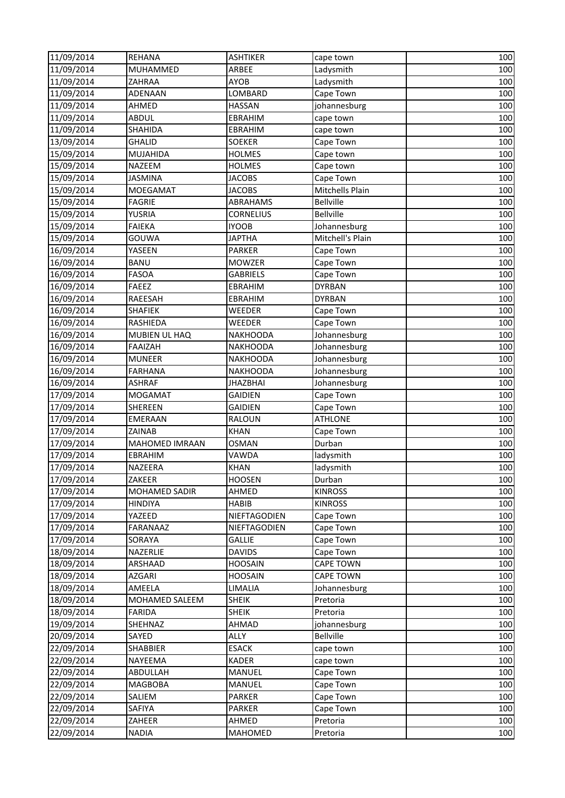| 11/09/2014               | <b>REHANA</b>         | <b>ASHTIKER</b>  | cape town             | 100 |
|--------------------------|-----------------------|------------------|-----------------------|-----|
| 11/09/2014               | <b>MUHAMMED</b>       | ARBEE            | Ladysmith             | 100 |
| 11/09/2014               | <b>ZAHRAA</b>         | AYOB             | Ladysmith             | 100 |
| 11/09/2014               | ADENAAN               | LOMBARD          | Cape Town             | 100 |
| 11/09/2014               | AHMED                 | <b>HASSAN</b>    | johannesburg          | 100 |
| 11/09/2014               | <b>ABDUL</b>          | <b>EBRAHIM</b>   | cape town             | 100 |
| 11/09/2014               | <b>SHAHIDA</b>        | EBRAHIM          | cape town             | 100 |
| 13/09/2014               | <b>GHALID</b>         | <b>SOEKER</b>    | Cape Town             | 100 |
| 15/09/2014               | MUJAHIDA              | <b>HOLMES</b>    | Cape town             | 100 |
| 15/09/2014               | <b>NAZEEM</b>         | <b>HOLMES</b>    | Cape town             | 100 |
| 15/09/2014               | <b>JASMINA</b>        | <b>JACOBS</b>    | Cape Town             | 100 |
| 15/09/2014               | <b>MOEGAMAT</b>       | <b>JACOBS</b>    | Mitchells Plain       | 100 |
| 15/09/2014               | <b>FAGRIE</b>         | ABRAHAMS         | <b>Bellville</b>      | 100 |
| 15/09/2014               | YUSRIA                | <b>CORNELIUS</b> | <b>Bellville</b>      | 100 |
| 15/09/2014               | <b>FAIEKA</b>         | <b>IYOOB</b>     | Johannesburg          | 100 |
| 15/09/2014               | GOUWA                 | <b>JAPTHA</b>    | Mitchell's Plain      | 100 |
| 16/09/2014               | YASEEN                | PARKER           | Cape Town             | 100 |
| 16/09/2014               | <b>BANU</b>           | <b>MOWZER</b>    | Cape Town             | 100 |
| 16/09/2014               | <b>FASOA</b>          | <b>GABRIELS</b>  | Cape Town             | 100 |
| 16/09/2014               | <b>FAEEZ</b>          | EBRAHIM          | <b>DYRBAN</b>         | 100 |
| 16/09/2014               | RAEESAH               | EBRAHIM          | <b>DYRBAN</b>         | 100 |
| 16/09/2014               | <b>SHAFIEK</b>        | <b>WEEDER</b>    | Cape Town             | 100 |
| 16/09/2014               | RASHIEDA              | WEEDER           | Cape Town             | 100 |
| 16/09/2014               | MUBIEN UL HAQ         | <b>NAKHOODA</b>  | Johannesburg          | 100 |
| 16/09/2014               | <b>FAAIZAH</b>        | <b>NAKHOODA</b>  | Johannesburg          | 100 |
| 16/09/2014               | <b>MUNEER</b>         | <b>NAKHOODA</b>  | Johannesburg          | 100 |
| 16/09/2014               | <b>FARHANA</b>        | <b>NAKHOODA</b>  | Johannesburg          | 100 |
| 16/09/2014               | <b>ASHRAF</b>         | <b>JHAZBHAI</b>  | Johannesburg          | 100 |
| 17/09/2014               | <b>MOGAMAT</b>        | <b>GAIDIEN</b>   | Cape Town             | 100 |
| 17/09/2014               | <b>SHEREEN</b>        | <b>GAIDIEN</b>   | Cape Town             | 100 |
| 17/09/2014               | <b>EMERAAN</b>        | RALOUN           | <b>ATHLONE</b>        | 100 |
| 17/09/2014               | ZAINAB                | <b>KHAN</b>      | Cape Town             | 100 |
| 17/09/2014               | <b>MAHOMED IMRAAN</b> | OSMAN            | Durban                | 100 |
| 17/09/2014               | EBRAHIM               | VAWDA            | ladysmith             | 100 |
| 17/09/2014               | NAZEERA               | <b>KHAN</b>      | ladysmith             | 100 |
| 17/09/2014               | ZAKEER                | <b>HOOSEN</b>    | Durban                | 100 |
| 17/09/2014               | MOHAMED SADIR         | AHMED            | <b>KINROSS</b>        | 100 |
| 17/09/2014               | <b>HINDIYA</b>        | <b>HABIB</b>     | <b>KINROSS</b>        | 100 |
| 17/09/2014               | YAZEED                | NIEFTAGODIEN     | Cape Town             | 100 |
| 17/09/2014               | FARANAAZ              | NIEFTAGODIEN     | Cape Town             | 100 |
| 17/09/2014               | SORAYA                | GALLIE           | Cape Town             | 100 |
| 18/09/2014               | NAZERLIE              | <b>DAVIDS</b>    | Cape Town             | 100 |
| 18/09/2014               | ARSHAAD               | <b>HOOSAIN</b>   | <b>CAPE TOWN</b>      | 100 |
| 18/09/2014               | <b>AZGARI</b>         | <b>HOOSAIN</b>   | <b>CAPE TOWN</b>      | 100 |
| 18/09/2014               | AMEELA                | LIMALIA          | Johannesburg          | 100 |
| 18/09/2014               | MOHAMED SALEEM        | <b>SHEIK</b>     | Pretoria              | 100 |
| 18/09/2014               | FARIDA                | <b>SHEIK</b>     | Pretoria              | 100 |
| 19/09/2014               | SHEHNAZ               | AHMAD            | johannesburg          | 100 |
| 20/09/2014               | SAYED                 | <b>ALLY</b>      | Bellville             | 100 |
| 22/09/2014               | SHABBIER              | <b>ESACK</b>     | cape town             | 100 |
| 22/09/2014               | NAYEEMA               | <b>KADER</b>     | cape town             | 100 |
| 22/09/2014               | <b>ABDULLAH</b>       | MANUEL           | Cape Town             | 100 |
| 22/09/2014               | <b>MAGBOBA</b>        | MANUEL           | Cape Town             | 100 |
| 22/09/2014               | SALIEM                | PARKER           | Cape Town             | 100 |
| 22/09/2014<br>22/09/2014 | SAFIYA                | PARKER           | Cape Town<br>Pretoria | 100 |
|                          | ZAHEER                | AHMED            |                       | 100 |
| 22/09/2014               | <b>NADIA</b>          | MAHOMED          | Pretoria              | 100 |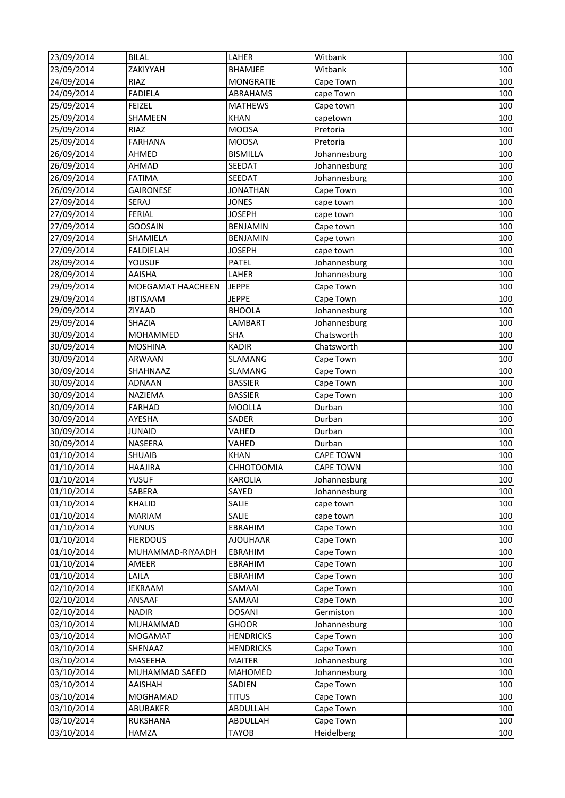| 23/09/2014 | <b>BILAL</b>      | LAHER             | Witbank          | 100 |
|------------|-------------------|-------------------|------------------|-----|
| 23/09/2014 | ZAKIYYAH          | <b>BHAMJEE</b>    | Witbank          | 100 |
| 24/09/2014 | RIAZ              | <b>MONGRATIE</b>  | Cape Town        | 100 |
| 24/09/2014 | <b>FADIELA</b>    | ABRAHAMS          | cape Town        | 100 |
| 25/09/2014 | <b>FEIZEL</b>     | <b>MATHEWS</b>    | Cape town        | 100 |
| 25/09/2014 | SHAMEEN           | <b>KHAN</b>       | capetown         | 100 |
| 25/09/2014 | RIAZ              | <b>MOOSA</b>      | Pretoria         | 100 |
| 25/09/2014 | <b>FARHANA</b>    | <b>MOOSA</b>      | Pretoria         | 100 |
| 26/09/2014 | AHMED             | <b>BISMILLA</b>   | Johannesburg     | 100 |
| 26/09/2014 | AHMAD             | <b>SEEDAT</b>     | Johannesburg     | 100 |
| 26/09/2014 | <b>FATIMA</b>     | <b>SEEDAT</b>     | Johannesburg     | 100 |
| 26/09/2014 | GAIRONESE         | <b>JONATHAN</b>   | Cape Town        | 100 |
| 27/09/2014 | SERAJ             | <b>JONES</b>      | cape town        | 100 |
| 27/09/2014 | <b>FERIAL</b>     | <b>JOSEPH</b>     | cape town        | 100 |
| 27/09/2014 | <b>GOOSAIN</b>    | <b>BENJAMIN</b>   | Cape town        | 100 |
| 27/09/2014 | SHAMIELA          | <b>BENJAMIN</b>   | Cape town        | 100 |
| 27/09/2014 | FALDIELAH         | <b>JOSEPH</b>     | cape town        | 100 |
| 28/09/2014 | YOUSUF            | PATEL             | Johannesburg     | 100 |
| 28/09/2014 | <b>AAISHA</b>     | LAHER             | Johannesburg     | 100 |
| 29/09/2014 | MOEGAMAT HAACHEEN | <b>JEPPE</b>      | Cape Town        | 100 |
| 29/09/2014 | <b>IBTISAAM</b>   | <b>JEPPE</b>      | Cape Town        | 100 |
| 29/09/2014 | ZIYAAD            | <b>BHOOLA</b>     | Johannesburg     | 100 |
| 29/09/2014 | SHAZIA            | LAMBART           | Johannesburg     | 100 |
| 30/09/2014 | <b>MOHAMMED</b>   | <b>SHA</b>        | Chatsworth       | 100 |
| 30/09/2014 | <b>MOSHINA</b>    | <b>KADIR</b>      | Chatsworth       | 100 |
| 30/09/2014 | ARWAAN            | SLAMANG           | Cape Town        | 100 |
| 30/09/2014 | SHAHNAAZ          | <b>SLAMANG</b>    | Cape Town        | 100 |
| 30/09/2014 | <b>ADNAAN</b>     | <b>BASSIER</b>    | Cape Town        | 100 |
| 30/09/2014 | NAZIEMA           | <b>BASSIER</b>    | Cape Town        | 100 |
| 30/09/2014 | <b>FARHAD</b>     | <b>MOOLLA</b>     | Durban           | 100 |
| 30/09/2014 | AYESHA            | SADER             | Durban           | 100 |
| 30/09/2014 | <b>JUNAID</b>     | VAHED             | Durban           | 100 |
| 30/09/2014 | NASEERA           | VAHED             | Durban           | 100 |
| 01/10/2014 | <b>SHUAIB</b>     | <b>KHAN</b>       | <b>CAPE TOWN</b> | 100 |
| 01/10/2014 | <b>HAAJIRA</b>    | <b>CHHOTOOMIA</b> | <b>CAPE TOWN</b> | 100 |
| 01/10/2014 | <b>YUSUF</b>      | <b>KAROLIA</b>    | Johannesburg     | 100 |
| 01/10/2014 | SABERA            | SAYED             | Johannesburg     | 100 |
| 01/10/2014 | KHALID            | SALIE             | cape town        | 100 |
| 01/10/2014 | MARIAM            | SALIE             | cape town        | 100 |
| 01/10/2014 | YUNUS             | EBRAHIM           | Cape Town        | 100 |
| 01/10/2014 | <b>FIERDOUS</b>   | <b>AJOUHAAR</b>   | Cape Town        | 100 |
| 01/10/2014 | MUHAMMAD-RIYAADH  | EBRAHIM           | Cape Town        | 100 |
| 01/10/2014 | AMEER             | <b>EBRAHIM</b>    | Cape Town        | 100 |
| 01/10/2014 | LAILA             | <b>EBRAHIM</b>    | Cape Town        | 100 |
| 02/10/2014 | <b>IEKRAAM</b>    | SAMAAI            | Cape Town        | 100 |
| 02/10/2014 | ANSAAF            | SAMAAI            | Cape Town        | 100 |
| 02/10/2014 | NADIR             | <b>DOSANI</b>     | Germiston        | 100 |
| 03/10/2014 | MUHAMMAD          | <b>GHOOR</b>      | Johannesburg     | 100 |
| 03/10/2014 | MOGAMAT           | <b>HENDRICKS</b>  | Cape Town        | 100 |
| 03/10/2014 | SHENAAZ           | <b>HENDRICKS</b>  | Cape Town        | 100 |
| 03/10/2014 | MASEEHA           | <b>MAITER</b>     | Johannesburg     | 100 |
| 03/10/2014 | MUHAMMAD SAEED    | <b>MAHOMED</b>    | Johannesburg     | 100 |
| 03/10/2014 | <b>AAISHAH</b>    | SADIEN            | Cape Town        | 100 |
| 03/10/2014 | MOGHAMAD          | <b>TITUS</b>      | Cape Town        | 100 |
| 03/10/2014 | ABUBAKER          | ABDULLAH          | Cape Town        | 100 |
| 03/10/2014 | RUKSHANA          | ABDULLAH          | Cape Town        | 100 |
| 03/10/2014 | HAMZA             | <b>TAYOB</b>      | Heidelberg       | 100 |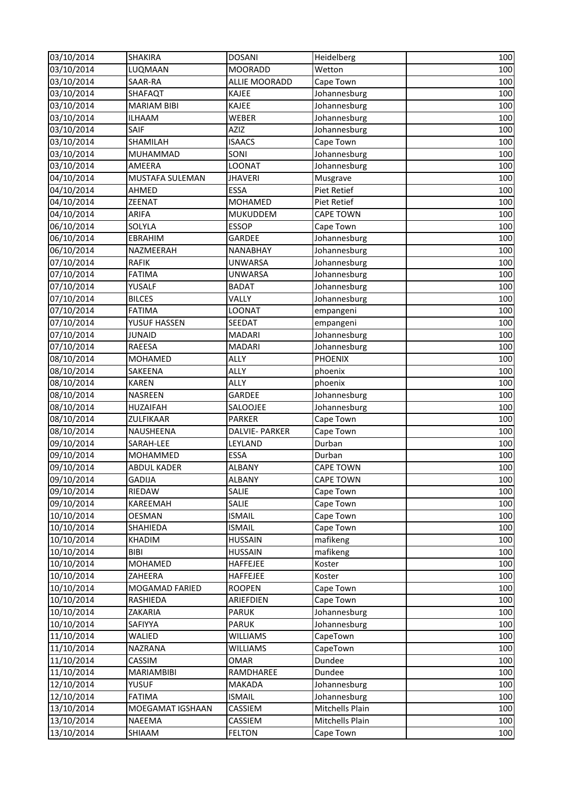| 03/10/2014 | <b>SHAKIRA</b>         | <b>DOSANI</b>         | Heidelberg                    | 100 |
|------------|------------------------|-----------------------|-------------------------------|-----|
| 03/10/2014 | LUQMAAN                | <b>MOORADD</b>        | $\overline{\mathsf{W}}$ etton | 100 |
| 03/10/2014 | SAAR-RA                | ALLIE MOORADD         | Cape Town                     | 100 |
| 03/10/2014 | SHAFAQT                | KAJEE                 | Johannesburg                  | 100 |
| 03/10/2014 | <b>MARIAM BIBI</b>     | KAJEE                 | Johannesburg                  | 100 |
| 03/10/2014 | <b>ILHAAM</b>          | WEBER                 | Johannesburg                  | 100 |
| 03/10/2014 | SAIF                   | <b>AZIZ</b>           | Johannesburg                  | 100 |
| 03/10/2014 | SHAMILAH               | <b>ISAACS</b>         | Cape Town                     | 100 |
| 03/10/2014 | MUHAMMAD               | SONI                  | Johannesburg                  | 100 |
| 03/10/2014 | AMEERA                 | LOONAT                | Johannesburg                  | 100 |
| 04/10/2014 | <b>MUSTAFA SULEMAN</b> | <b>JHAVERI</b>        | Musgrave                      | 100 |
| 04/10/2014 | AHMED                  | <b>ESSA</b>           | Piet Retief                   | 100 |
| 04/10/2014 | ZEENAT                 | <b>MOHAMED</b>        | <b>Piet Retief</b>            | 100 |
| 04/10/2014 | ARIFA                  | MUKUDDEM              | <b>CAPE TOWN</b>              | 100 |
| 06/10/2014 | SOLYLA                 | <b>ESSOP</b>          | Cape Town                     | 100 |
| 06/10/2014 | <b>EBRAHIM</b>         | GARDEE                | Johannesburg                  | 100 |
| 06/10/2014 | NAZMEERAH              | NANABHAY              | Johannesburg                  | 100 |
| 07/10/2014 | <b>RAFIK</b>           | <b>UNWARSA</b>        | Johannesburg                  | 100 |
| 07/10/2014 | <b>FATIMA</b>          | <b>UNWARSA</b>        | Johannesburg                  | 100 |
| 07/10/2014 | YUSALF                 | <b>BADAT</b>          | Johannesburg                  | 100 |
| 07/10/2014 | <b>BILCES</b>          | VALLY                 | Johannesburg                  | 100 |
| 07/10/2014 | <b>FATIMA</b>          | LOONAT                | empangeni                     | 100 |
| 07/10/2014 | YUSUF HASSEN           | SEEDAT                | empangeni                     | 100 |
| 07/10/2014 | <b>JUNAID</b>          | <b>MADARI</b>         | Johannesburg                  | 100 |
| 07/10/2014 | RAEESA                 | <b>MADARI</b>         | Johannesburg                  | 100 |
| 08/10/2014 | <b>MOHAMED</b>         | ALLY                  | <b>PHOENIX</b>                | 100 |
| 08/10/2014 | SAKEENA                | <b>ALLY</b>           | phoenix                       | 100 |
| 08/10/2014 | <b>KAREN</b>           | <b>ALLY</b>           | phoenix                       | 100 |
| 08/10/2014 | <b>NASREEN</b>         | <b>GARDEE</b>         | Johannesburg                  | 100 |
| 08/10/2014 | <b>HUZAIFAH</b>        | SALOOJEE              | Johannesburg                  | 100 |
| 08/10/2014 | ZULFIKAAR              | <b>PARKER</b>         | Cape Town                     | 100 |
| 08/10/2014 | NAUSHEENA              | <b>DALVIE- PARKER</b> | Cape Town                     | 100 |
| 09/10/2014 | SARAH-LEE              | LEYLAND               | Durban                        | 100 |
| 09/10/2014 | MOHAMMED               | <b>ESSA</b>           | Durban                        | 100 |
| 09/10/2014 | <b>ABDUL KADER</b>     | <b>ALBANY</b>         | <b>CAPE TOWN</b>              | 100 |
| 09/10/2014 | <b>GADIJA</b>          | <b>ALBANY</b>         | <b>CAPE TOWN</b>              | 100 |
| 09/10/2014 | RIEDAW                 | SALIE                 | Cape Town                     | 100 |
| 09/10/2014 | KAREEMAH               | SALIE                 | Cape Town                     | 100 |
| 10/10/2014 | <b>OESMAN</b>          | <b>ISMAIL</b>         | Cape Town                     | 100 |
| 10/10/2014 | SHAHIEDA               | <b>ISMAIL</b>         | Cape Town                     | 100 |
| 10/10/2014 | <b>KHADIM</b>          | <b>HUSSAIN</b>        | mafikeng                      | 100 |
| 10/10/2014 | <b>BIBI</b>            | <b>HUSSAIN</b>        | mafikeng                      | 100 |
| 10/10/2014 | <b>MOHAMED</b>         | HAFFEJEE              | Koster                        | 100 |
| 10/10/2014 | ZAHEERA                | HAFFEJEE              | Koster                        | 100 |
| 10/10/2014 | MOGAMAD FARIED         | <b>ROOPEN</b>         | Cape Town                     | 100 |
| 10/10/2014 | RASHIEDA               | ARIEFDIEN             | Cape Town                     | 100 |
| 10/10/2014 | ZAKARIA                | <b>PARUK</b>          | Johannesburg                  | 100 |
| 10/10/2014 | SAFIYYA                | <b>PARUK</b>          | Johannesburg                  | 100 |
| 11/10/2014 | WALIED                 | <b>WILLIAMS</b>       | CapeTown                      | 100 |
| 11/10/2014 | NAZRANA                | <b>WILLIAMS</b>       | CapeTown                      | 100 |
| 11/10/2014 | CASSIM                 | OMAR                  | Dundee                        | 100 |
| 11/10/2014 | MARIAMBIBI             | RAMDHAREE             | Dundee                        | 100 |
| 12/10/2014 | <b>YUSUF</b>           | <b>MAKADA</b>         | Johannesburg                  | 100 |
| 12/10/2014 | <b>FATIMA</b>          | <b>ISMAIL</b>         | Johannesburg                  | 100 |
| 13/10/2014 | MOEGAMAT IGSHAAN       | CASSIEM               | Mitchells Plain               | 100 |
| 13/10/2014 | NAEEMA                 | CASSIEM               | Mitchells Plain               | 100 |
| 13/10/2014 | SHIAAM                 | <b>FELTON</b>         | Cape Town                     | 100 |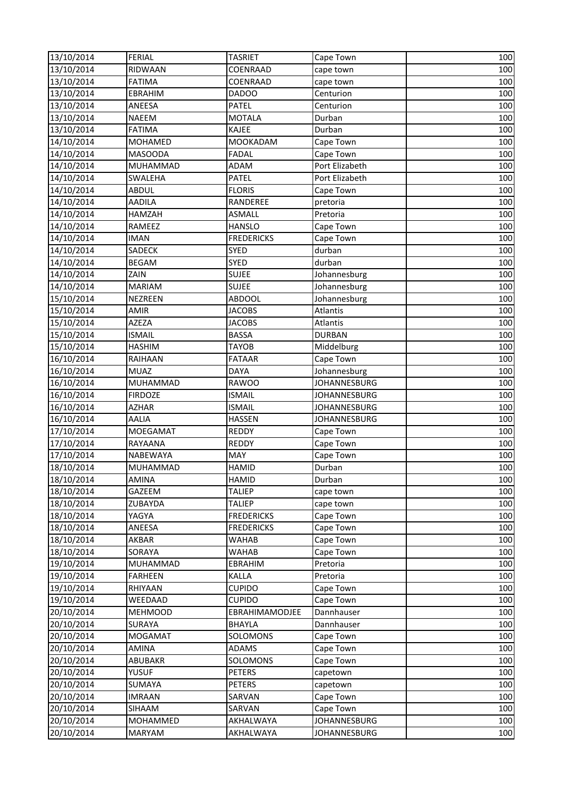| 13/10/2014 | <b>FERIAL</b>   | <b>TASRIET</b>    | Cape Town           | 100 |
|------------|-----------------|-------------------|---------------------|-----|
| 13/10/2014 | RIDWAAN         | COENRAAD          | cape town           | 100 |
| 13/10/2014 | <b>FATIMA</b>   | COENRAAD          | cape town           | 100 |
| 13/10/2014 | <b>EBRAHIM</b>  | DADOO             | Centurion           | 100 |
| 13/10/2014 | ANEESA          | PATEL             | Centurion           | 100 |
| 13/10/2014 | <b>NAEEM</b>    | <b>MOTALA</b>     | Durban              | 100 |
| 13/10/2014 | <b>FATIMA</b>   | KAJEE             | Durban              | 100 |
| 14/10/2014 | <b>MOHAMED</b>  | MOOKADAM          | Cape Town           | 100 |
| 14/10/2014 | <b>MASOODA</b>  | FADAL             | Cape Town           | 100 |
| 14/10/2014 | <b>MUHAMMAD</b> | ADAM              | Port Elizabeth      | 100 |
| 14/10/2014 | <b>SWALEHA</b>  | PATEL             | Port Elizabeth      | 100 |
| 14/10/2014 | <b>ABDUL</b>    | <b>FLORIS</b>     | Cape Town           | 100 |
| 14/10/2014 | <b>AADILA</b>   | RANDEREE          | pretoria            | 100 |
| 14/10/2014 | HAMZAH          | <b>ASMALL</b>     | Pretoria            | 100 |
| 14/10/2014 | RAMEEZ          | <b>HANSLO</b>     | Cape Town           | 100 |
| 14/10/2014 | <b>IMAN</b>     | <b>FREDERICKS</b> | Cape Town           | 100 |
| 14/10/2014 | SADECK          | SYED              | durban              | 100 |
| 14/10/2014 | <b>BEGAM</b>    | SYED              | durban              | 100 |
| 14/10/2014 | ZAIN            | <b>SUJEE</b>      | Johannesburg        | 100 |
| 14/10/2014 | <b>MARIAM</b>   | <b>SUJEE</b>      | Johannesburg        | 100 |
| 15/10/2014 | <b>NEZREEN</b>  | ABDOOL            | Johannesburg        | 100 |
| 15/10/2014 | <b>AMIR</b>     | <b>JACOBS</b>     | Atlantis            | 100 |
| 15/10/2014 | AZEZA           | <b>JACOBS</b>     | Atlantis            | 100 |
| 15/10/2014 | <b>ISMAIL</b>   | <b>BASSA</b>      | <b>DURBAN</b>       | 100 |
| 15/10/2014 | <b>HASHIM</b>   | <b>TAYOB</b>      | Middelburg          | 100 |
| 16/10/2014 | RAIHAAN         | <b>FATAAR</b>     | Cape Town           | 100 |
| 16/10/2014 | <b>MUAZ</b>     | <b>DAYA</b>       | Johannesburg        | 100 |
| 16/10/2014 | <b>MUHAMMAD</b> | <b>RAWOO</b>      | JOHANNESBURG        | 100 |
| 16/10/2014 | <b>FIRDOZE</b>  | <b>ISMAIL</b>     | <b>JOHANNESBURG</b> | 100 |
| 16/10/2014 | <b>AZHAR</b>    | <b>ISMAIL</b>     | <b>JOHANNESBURG</b> | 100 |
| 16/10/2014 | <b>AALIA</b>    | <b>HASSEN</b>     | <b>JOHANNESBURG</b> | 100 |
| 17/10/2014 | <b>MOEGAMAT</b> | REDDY             | Cape Town           | 100 |
| 17/10/2014 | RAYAANA         | REDDY             | Cape Town           | 100 |
| 17/10/2014 | NABEWAYA        | MAY               | Cape Town           | 100 |
| 18/10/2014 | <b>MUHAMMAD</b> | <b>HAMID</b>      | Durban              | 100 |
| 18/10/2014 | AMINA           | <b>HAMID</b>      | Durban              | 100 |
| 18/10/2014 | GAZEEM          | <b>TALIEP</b>     | cape town           | 100 |
| 18/10/2014 | ZUBAYDA         | <b>TALIEP</b>     | cape town           | 100 |
| 18/10/2014 | YAGYA           | <b>FREDERICKS</b> | Cape Town           | 100 |
| 18/10/2014 | ANEESA          | <b>FREDERICKS</b> | Cape Town           | 100 |
| 18/10/2014 | AKBAR           | WAHAB             | Cape Town           | 100 |
| 18/10/2014 | SORAYA          | WAHAB             | Cape Town           | 100 |
| 19/10/2014 | <b>MUHAMMAD</b> | EBRAHIM           | Pretoria            | 100 |
| 19/10/2014 | <b>FARHEEN</b>  | KALLA             | Pretoria            | 100 |
| 19/10/2014 | RHIYAAN         | <b>CUPIDO</b>     | Cape Town           | 100 |
| 19/10/2014 | WEEDAAD         | <b>CUPIDO</b>     | Cape Town           | 100 |
| 20/10/2014 | <b>MEHMOOD</b>  | EBRAHIMAMODJEE    | Dannhauser          | 100 |
| 20/10/2014 | <b>SURAYA</b>   | <b>BHAYLA</b>     | Dannhauser          | 100 |
| 20/10/2014 | <b>MOGAMAT</b>  | SOLOMONS          | Cape Town           | 100 |
| 20/10/2014 | AMINA           | ADAMS             | Cape Town           | 100 |
| 20/10/2014 | ABUBAKR         | SOLOMONS          | Cape Town           | 100 |
| 20/10/2014 | <b>YUSUF</b>    | <b>PETERS</b>     | capetown            | 100 |
| 20/10/2014 | SUMAYA          | <b>PETERS</b>     | capetown            | 100 |
| 20/10/2014 | <b>IMRAAN</b>   | SARVAN            | Cape Town           | 100 |
| 20/10/2014 | <b>SIHAAM</b>   | SARVAN            | Cape Town           | 100 |
| 20/10/2014 | MOHAMMED        | AKHALWAYA         | JOHANNESBURG        | 100 |
| 20/10/2014 | <b>MARYAM</b>   | AKHALWAYA         | JOHANNESBURG        | 100 |